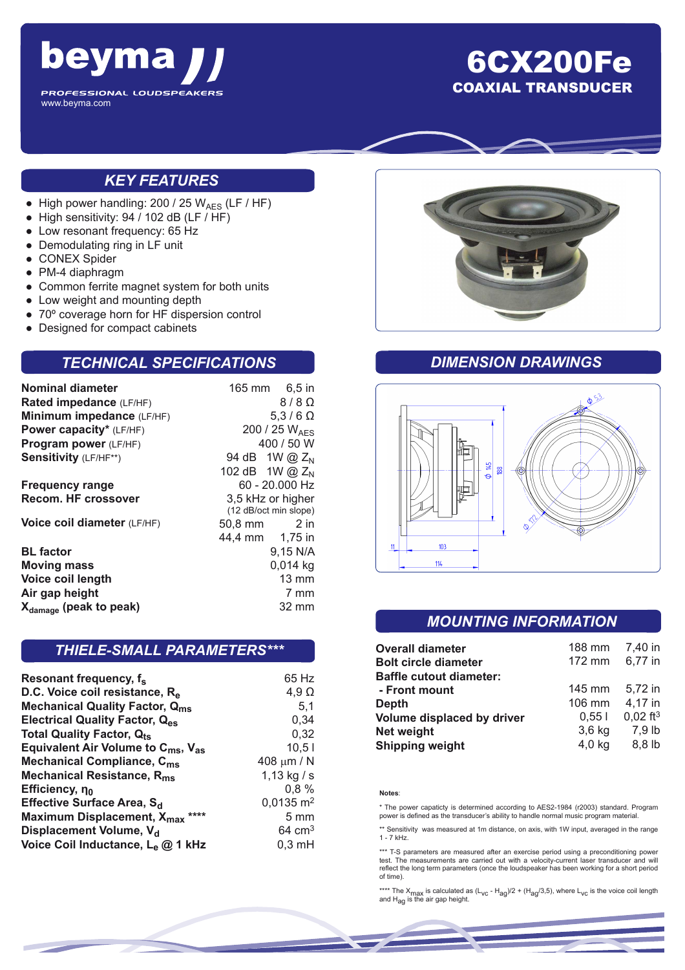

## 6CX200Fe COAXIAL TRANSDUCER

### *KEY FEATURES*

- High power handling:  $200 / 25 W_{AES}$  (LF / HF)
- High sensitivity: 94 / 102 dB (LF / HF)
- Low resonant frequency: 65 Hz
- Demodulating ring in LF unit
- CONEX Spider
- PM-4 diaphragm
- Common ferrite magnet system for both units
- Low weight and mounting depth
- 70° coverage horn for HF dispersion control
- Designed for compact cabinets

#### *TECHNICAL SPECIFICATIONS*

| Nominal diameter<br>Rated impedance (LF/HF) |                                            | 165 mm 6,5 in<br>$8/8$ $\Omega$ |  |
|---------------------------------------------|--------------------------------------------|---------------------------------|--|
| Minimum impedance (LF/HF)                   |                                            | $5,3/6$ $\Omega$                |  |
| Power capacity* (LF/HF)                     | 200 / 25 WAFS                              |                                 |  |
| Program power (LF/HF)                       | 400 / 50 W                                 |                                 |  |
| Sensitivity (LF/HF**)                       |                                            | 94 dB 1W @ Z <sub>N</sub>       |  |
|                                             |                                            | 102 dB 1W @ $Z_N$               |  |
| <b>Frequency range</b>                      | $60 - 20.000$ Hz                           |                                 |  |
| Recom. HF crossover                         | 3,5 kHz or higher<br>(12 dB/oct min slope) |                                 |  |
| Voice coil diameter (LF/HF)                 | 50,8 mm                                    | $2$ in                          |  |
|                                             |                                            | 44,4 mm 1,75 in                 |  |
| <b>BL</b> factor                            |                                            | 9,15 N/A                        |  |
| <b>Moving mass</b>                          |                                            | $0,014$ kg                      |  |
| Voice coil length                           |                                            | $13 \text{ mm}$                 |  |
| Air gap height                              |                                            | 7 mm                            |  |
| X <sub>damage</sub> (peak to peak)          |                                            | 32 mm                           |  |

#### *THIELE-SMALL PARAMETERS\*\*\**

| Resonant frequency, f <sub>s</sub>                         | 65 Hz                |
|------------------------------------------------------------|----------------------|
| D.C. Voice coil resistance, R <sub>e</sub>                 | $4,9 \Omega$         |
| <b>Mechanical Quality Factor, Qms</b>                      | 5,1                  |
| <b>Electrical Quality Factor, Qes</b>                      | 0,34                 |
| <b>Total Quality Factor, Qts</b>                           | 0,32                 |
| Equivalent Air Volume to C <sub>ms</sub> , V <sub>as</sub> | 10,51                |
| <b>Mechanical Compliance, C<sub>ms</sub></b>               | 408 $\mu$ m / N      |
| Mechanical Resistance, R <sub>ms</sub>                     | 1,13 kg / s          |
| Efficiency, no                                             | 0,8%                 |
| Effective Surface Area, S <sub>d</sub>                     | $0,0135 \text{ m}^2$ |
| Maximum Displacement, X <sub>max</sub> ****                | $5 \text{ mm}$       |
| Displacement Volume, V <sub>d</sub>                        | $64 \text{ cm}^3$    |
| Voice Coil Inductance, Le @ 1 kHz                          | $0,3$ mH             |



#### *DIMENSION DRAWINGS*



#### *MOUNTING INFORMATION*

| <b>Overall diameter</b>        | 188 mm   | 7,40 in                |
|--------------------------------|----------|------------------------|
| <b>Bolt circle diameter</b>    | 172 mm   | 6,77 in                |
| <b>Baffle cutout diameter:</b> |          |                        |
| - Front mount                  | 145 mm   | 5,72 in                |
| Depth                          | 106 mm   | 4,17 in                |
| Volume displaced by driver     | 0.551    |                        |
| <b>Net weight</b>              | $3,6$ kg | 7,9 lb                 |
| <b>Shipping weight</b>         | 4,0 kg   | 8,8 lb                 |
|                                |          | $0,02$ ft <sup>3</sup> |

#### **Notes**:

\* The power capaticty is determined according to AES2-1984 (r2003) standard. Program power is defined as the transducer's ability to handle normal music program material.

\*\* Sensitivity was measured at 1m distance, on axis, with 1W input, averaged in the range 1 - 7 kHz.

\*\*\* T-S parameters are measured after an exercise period using a preconditioning power test. The measurements are carried out with a velocity-current laser transducer and will reflect the long term parameters (once the loudspeaker has been working for a short period of time).

\*\*\*\* The X<sub>max</sub> is calculated as (L<sub>VC</sub> - H<sub>ag</sub>)/2 + (H<sub>ag</sub>/3,5), where L<sub>VC</sub> is the voice coil length<br>and H<sub>ag</sub> is the air gap height.